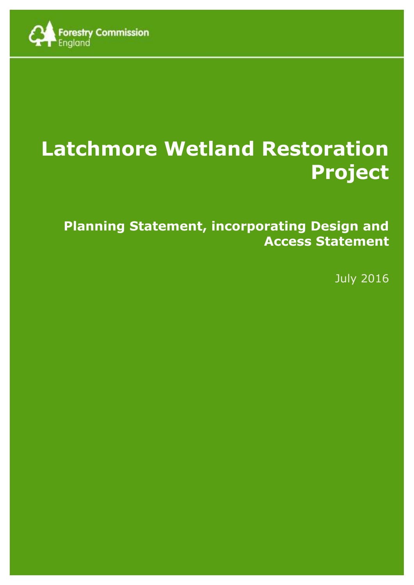

# **Latchmore Wetland Restoration Project**

**Planning Statement, incorporating Design and Access Statement**

July 2016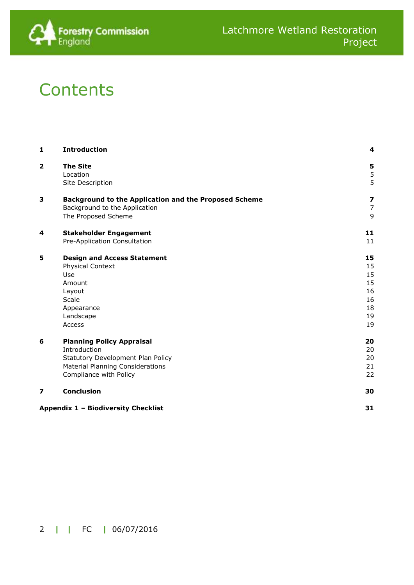

# **Contents**

| $\mathbf{1}$            | <b>Introduction</b>                                          | 4                       |
|-------------------------|--------------------------------------------------------------|-------------------------|
| $\overline{\mathbf{2}}$ | <b>The Site</b>                                              | 5                       |
|                         | Location                                                     | 5                       |
|                         | Site Description                                             | 5                       |
| 3                       | <b>Background to the Application and the Proposed Scheme</b> | $\overline{\mathbf{z}}$ |
|                         | Background to the Application                                | $\overline{7}$          |
|                         | The Proposed Scheme                                          | 9                       |
| 4                       | <b>Stakeholder Engagement</b>                                | 11                      |
|                         | Pre-Application Consultation                                 | 11                      |
| 5                       | <b>Design and Access Statement</b>                           | 15                      |
|                         | Physical Context                                             | 15                      |
|                         | Use                                                          | 15                      |
|                         | Amount                                                       | 15                      |
|                         | Layout                                                       | 16                      |
|                         | Scale                                                        | 16                      |
|                         | Appearance                                                   | 18                      |
|                         | Landscape                                                    | 19                      |
|                         | Access                                                       | 19                      |
| 6                       | <b>Planning Policy Appraisal</b>                             | 20                      |
|                         | Introduction                                                 | 20                      |
|                         | Statutory Development Plan Policy                            | 20                      |
|                         | <b>Material Planning Considerations</b>                      | 21                      |
|                         | Compliance with Policy                                       | 22                      |
| $\overline{\mathbf{z}}$ | <b>Conclusion</b>                                            | 30                      |
|                         | Appendix 1 - Biodiversity Checklist                          | 31                      |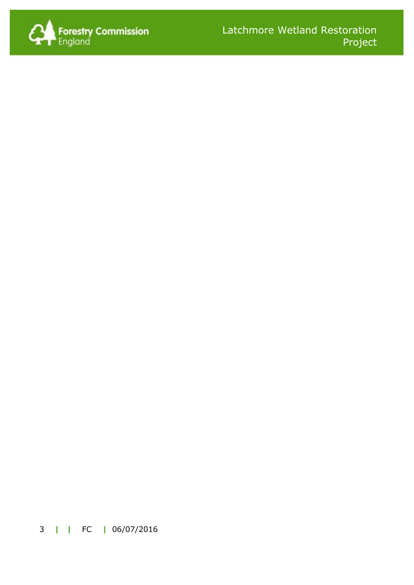

3 **| |** FC **|** 06/07/2016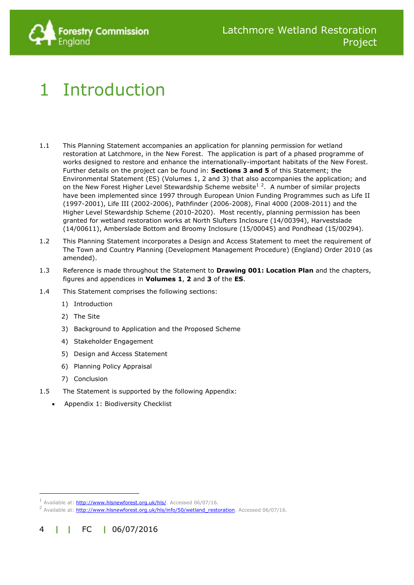

# <span id="page-3-0"></span>1 Introduction

- 1.1 This Planning Statement accompanies an application for planning permission for wetland restoration at Latchmore, in the New Forest. The application is part of a phased programme of works designed to restore and enhance the internationally-important habitats of the New Forest. Further details on the project can be found in: **Sections 3 and 5** of this Statement; the Environmental Statement (ES) (Volumes 1, 2 and 3) that also accompanies the application; and on the New Forest Higher Level Stewardship Scheme website<sup>12</sup>. A number of similar projects have been implemented since 1997 through European Union Funding Programmes such as Life II (1997-2001), Life III (2002-2006), Pathfinder (2006-2008), Final 4000 (2008-2011) and the Higher Level Stewardship Scheme (2010-2020). Most recently, planning permission has been granted for wetland restoration works at North Slufters Inclosure (14/00394), Harvestslade (14/00611), Amberslade Bottom and Broomy Inclosure (15/00045) and Pondhead (15/00294).
- 1.2 This Planning Statement incorporates a Design and Access Statement to meet the requirement of The Town and Country Planning (Development Management Procedure) (England) Order 2010 (as amended).
- 1.3 Reference is made throughout the Statement to **Drawing 001: Location Plan** and the chapters, figures and appendices in **Volumes 1**, **2** and **3** of the **ES**.
- 1.4 This Statement comprises the following sections:
	- 1) Introduction
	- 2) The Site
	- 3) Background to Application and the Proposed Scheme
	- 4) Stakeholder Engagement
	- 5) Design and Access Statement
	- 6) Planning Policy Appraisal
	- 7) Conclusion
- 1.5 The Statement is supported by the following Appendix:
	- Appendix 1: Biodiversity Checklist

<sup>&</sup>lt;sup>1</sup> Available at: http://www.hlsnewforest.org.uk/hls/</u>. Accessed 06/07/16.

<sup>&</sup>lt;sup>2</sup> Available at: **http://www.hlsnewforest.org.uk/hls/info/50/wetland\_restoration**. Accessed 06/07/16.

<sup>4</sup> **| |** FC **|** 06/07/2016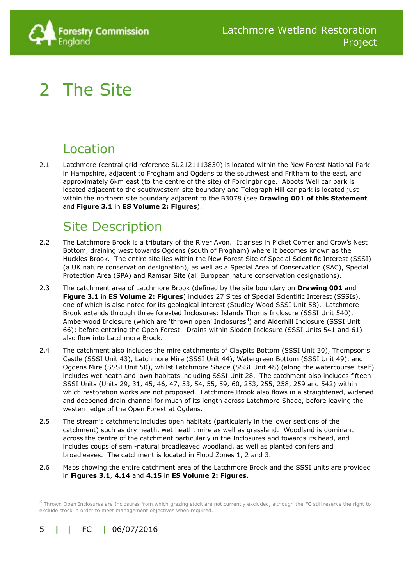

# <span id="page-4-0"></span>2 The Site

## Location

<span id="page-4-1"></span>2.1 Latchmore (central grid reference SU2121113830) is located within the New Forest National Park in Hampshire, adjacent to Frogham and Ogdens to the southwest and Fritham to the east, and approximately 6km east (to the centre of the site) of Fordingbridge. Abbots Well car park is located adjacent to the southwestern site boundary and Telegraph Hill car park is located just within the northern site boundary adjacent to the B3078 (see **Drawing 001 of this Statement**  and **Figure 3.1** in **ES Volume 2: Figures**).

# Site Description

- <span id="page-4-2"></span>2.2 The Latchmore Brook is a tributary of the River Avon. It arises in Picket Corner and Crow's Nest Bottom, draining west towards Ogdens (south of Frogham) where it becomes known as the Huckles Brook. The entire site lies within the New Forest Site of Special Scientific Interest (SSSI) (a UK nature conservation designation), as well as a Special Area of Conservation (SAC), Special Protection Area (SPA) and Ramsar Site (all European nature conservation designations).
- 2.3 The catchment area of Latchmore Brook (defined by the site boundary on **Drawing 001** and **Figure 3.1** in **ES Volume 2: Figures**) includes 27 Sites of Special Scientific Interest (SSSIs), one of which is also noted for its geological interest (Studley Wood SSSI Unit 58). Latchmore Brook extends through three forested Inclosures: Islands Thorns Inclosure (SSSI Unit 540), Amberwood Inclosure (which are `thrown open' Inclosures<sup>3</sup>) and Alderhill Inclosure (SSSI Unit 66); before entering the Open Forest. Drains within Sloden Inclosure (SSSI Units 541 and 61) also flow into Latchmore Brook.
- 2.4 The catchment also includes the mire catchments of Claypits Bottom (SSSI Unit 30), Thompson's Castle (SSSI Unit 43), Latchmore Mire (SSSI Unit 44), Watergreen Bottom (SSSI Unit 49), and Ogdens Mire (SSSI Unit 50), whilst Latchmore Shade (SSSI Unit 48) (along the watercourse itself) includes wet heath and lawn habitats including SSSI Unit 28. The catchment also includes fifteen SSSI Units (Units 29, 31, 45, 46, 47, 53, 54, 55, 59, 60, 253, 255, 258, 259 and 542) within which restoration works are not proposed. Latchmore Brook also flows in a straightened, widened and deepened drain channel for much of its length across Latchmore Shade, before leaving the western edge of the Open Forest at Ogdens.
- 2.5 The stream's catchment includes open habitats (particularly in the lower sections of the catchment) such as dry heath, wet heath, mire as well as grassland. Woodland is dominant across the centre of the catchment particularly in the Inclosures and towards its head, and includes coups of semi-natural broadleaved woodland, as well as planted conifers and broadleaves. The catchment is located in Flood Zones 1, 2 and 3.
- 2.6 Maps showing the entire catchment area of the Latchmore Brook and the SSSI units are provided in **Figures 3.1**, **4.14** and **4.15** in **ES Volume 2: Figures.**

 $3$  Thrown Open Inclosures are Inclosures from which grazing stock are not currently excluded, although the FC still reserve the right to exclude stock in order to meet management objectives when required.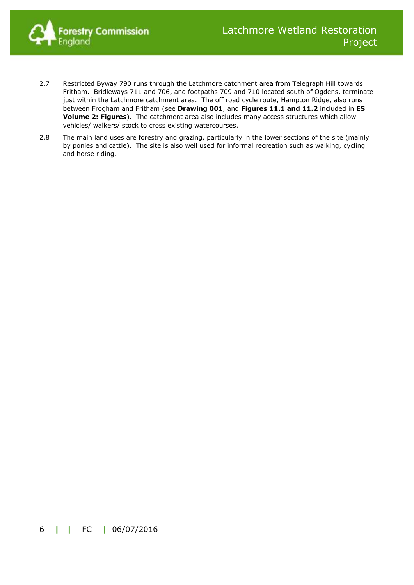

- 2.7 Restricted Byway 790 runs through the Latchmore catchment area from Telegraph Hill towards Fritham. Bridleways 711 and 706, and footpaths 709 and 710 located south of Ogdens, terminate just within the Latchmore catchment area. The off road cycle route, Hampton Ridge, also runs between Frogham and Fritham (see **Drawing 001**, and **Figures 11.1 and 11.2** included in **ES Volume 2: Figures**). The catchment area also includes many access structures which allow vehicles/ walkers/ stock to cross existing watercourses.
- 2.8 The main land uses are forestry and grazing, particularly in the lower sections of the site (mainly by ponies and cattle). The site is also well used for informal recreation such as walking, cycling and horse riding.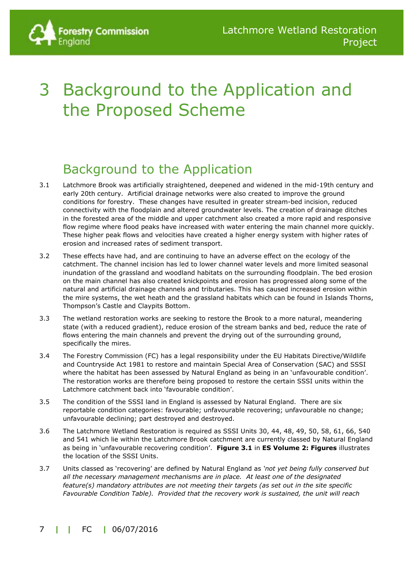# <span id="page-6-0"></span>3 Background to the Application and the Proposed Scheme

# Background to the Application

- <span id="page-6-1"></span>3.1 Latchmore Brook was artificially straightened, deepened and widened in the mid-19th century and early 20th century. Artificial drainage networks were also created to improve the ground conditions for forestry. These changes have resulted in greater stream-bed incision, reduced connectivity with the floodplain and altered groundwater levels. The creation of drainage ditches in the forested area of the middle and upper catchment also created a more rapid and responsive flow regime where flood peaks have increased with water entering the main channel more quickly. These higher peak flows and velocities have created a higher energy system with higher rates of erosion and increased rates of sediment transport.
- 3.2 These effects have had, and are continuing to have an adverse effect on the ecology of the catchment. The channel incision has led to lower channel water levels and more limited seasonal inundation of the grassland and woodland habitats on the surrounding floodplain. The bed erosion on the main channel has also created knickpoints and erosion has progressed along some of the natural and artificial drainage channels and tributaries. This has caused increased erosion within the mire systems, the wet heath and the grassland habitats which can be found in Islands Thorns, Thompson's Castle and Claypits Bottom.
- 3.3 The wetland restoration works are seeking to restore the Brook to a more natural, meandering state (with a reduced gradient), reduce erosion of the stream banks and bed, reduce the rate of flows entering the main channels and prevent the drying out of the surrounding ground, specifically the mires.
- 3.4 The Forestry Commission (FC) has a legal responsibility under the EU Habitats Directive/Wildlife and Countryside Act 1981 to restore and maintain Special Area of Conservation (SAC) and SSSI where the habitat has been assessed by Natural England as being in an 'unfavourable condition'. The restoration works are therefore being proposed to restore the certain SSSI units within the Latchmore catchment back into 'favourable condition'.
- 3.5 The condition of the SSSI land in England is assessed by Natural England. There are six reportable condition categories: favourable; unfavourable recovering; unfavourable no change; unfavourable declining; part destroyed and destroyed.
- 3.6 The Latchmore Wetland Restoration is required as SSSI Units 30, 44, 48, 49, 50, 58, 61, 66, 540 and 541 which lie within the Latchmore Brook catchment are currently classed by Natural England as being in 'unfavourable recovering condition'. **Figure 3.1** in **ES Volume 2: Figures** illustrates the location of the SSSI Units.
- 3.7 Units classed as 'recovering' are defined by Natural England as *'not yet being fully conserved but all the necessary management mechanisms are in place. At least one of the designated feature(s) mandatory attributes are not meeting their targets (as set out in the site specific Favourable Condition Table). Provided that the recovery work is sustained, the unit will reach*

#### 7 **| |** FC **|** 06/07/2016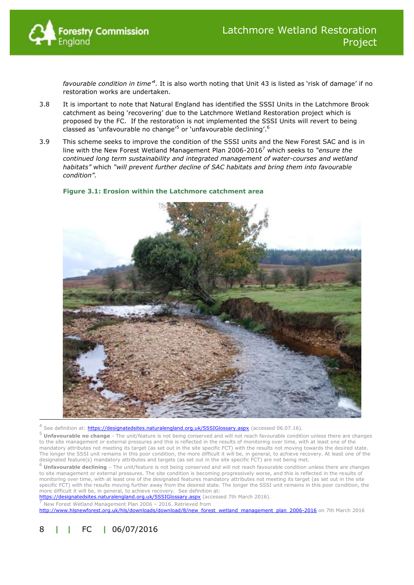

*favourable condition in time<sup>4</sup>.* It is also worth noting that Unit 43 is listed as 'risk of damage' if no restoration works are undertaken.

- 3.8 It is important to note that Natural England has identified the SSSI Units in the Latchmore Brook catchment as being 'recovering' due to the Latchmore Wetland Restoration project which is proposed by the FC. If the restoration is not implemented the SSSI Units will revert to being classed as `unfavourable no change'<sup>5</sup> or `unfavourable declining'.<sup>6</sup>
- 3.9 This scheme seeks to improve the condition of the SSSI units and the New Forest SAC and is in line with the New Forest Wetland Management Plan 2006-2016<sup>7</sup> which seeks to *"ensure the continued long term sustainability and integrated management of water-courses and wetland habitats"* which *"will prevent further decline of SAC habitats and bring them into favourable condition".*

#### **Figure 3.1: Erosion within the Latchmore catchment area**



4 See definition at:<https://designatedsites.naturalengland.org.uk/SSSIGlossary.aspx> (accessed 06.07.16).

<sup>5</sup> **Unfavourable no change** - The unit/feature is not being conserved and will not reach favourable condition unless there are changes to the site management or external pressures and this is reflected in the results of monitoring over time, with at least one of the mandatory attributes not meeting its target (as set out in the site specific FCT) with the results not moving towards the desired state. The longer the SSSI unit remains in this poor condition, the more difficult it will be, in general, to achieve recovery. At least one of the designated feature(s) mandatory attributes and targets (as set out in the site specific FCT) are not being met.

<sup>6</sup> **Unfavourable declining** – The unit/feature is not being conserved and will not reach favourable condition unless there are changes to site management or external pressures. The site condition is becoming progressively worse, and this is reflected in the results of monitoring over time, with at least one of the designated features mandatory attributes not meeting its target (as set out in the site specific FCT) with the results moving further away from the desired state. The longer the SSSI unit remains in this poor condition, the more difficult it will be, in general, to achieve recovery. See definition at:

<https://designatedsites.naturalengland.org.uk/SSSIGlossary.aspx> (accessed 7th March 2016).

7 New Forest Wetland Management Plan 2006 – 2016. Retrieved from

[http://www.hlsnewforest.org.uk/hls/downloads/download/8/new\\_forest\\_wetland\\_management\\_plan\\_2006-2016](http://www.hlsnewforest.org.uk/hls/downloads/download/8/new_forest_wetland_management_plan_2006-2016) on 7th March 2016

### 8 **| |** FC **|** 06/07/2016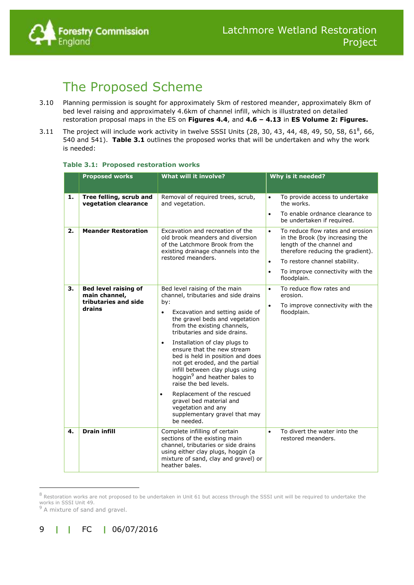

## The Proposed Scheme

- <span id="page-8-0"></span>3.10 Planning permission is sought for approximately 5km of restored meander, approximately 8km of bed level raising and approximately 4.6km of channel infill, which is illustrated on detailed restoration proposal maps in the ES on **Figures 4.4**, and **4.6 – 4.13** in **ES Volume 2: Figures.**
- 3.11 The project will include work activity in twelve SSSI Units (28, 30, 43, 44, 48, 49, 50, 58, 61<sup>8</sup>, 66, 540 and 541). **Table 3.1** outlines the proposed works that will be undertaken and why the work is needed:

| <b>Proposed works</b> |                                                                                | What will it involve?                                                                                                                                                                                                                                   | Why is it needed?                                                                                                                                  |  |
|-----------------------|--------------------------------------------------------------------------------|---------------------------------------------------------------------------------------------------------------------------------------------------------------------------------------------------------------------------------------------------------|----------------------------------------------------------------------------------------------------------------------------------------------------|--|
|                       |                                                                                |                                                                                                                                                                                                                                                         |                                                                                                                                                    |  |
| 1.                    | Tree felling, scrub and<br>vegetation clearance                                | Removal of required trees, scrub,<br>and vegetation.                                                                                                                                                                                                    | To provide access to undertake<br>$\bullet$<br>the works.                                                                                          |  |
|                       |                                                                                |                                                                                                                                                                                                                                                         | To enable ordnance clearance to<br>$\bullet$<br>be undertaken if required.                                                                         |  |
| 2.                    | <b>Meander Restoration</b>                                                     | Excavation and recreation of the<br>old brook meanders and diversion<br>of the Latchmore Brook from the<br>existing drainage channels into the                                                                                                          | To reduce flow rates and erosion<br>$\bullet$<br>in the Brook (by increasing the<br>length of the channel and<br>therefore reducing the gradient). |  |
|                       |                                                                                | restored meanders.                                                                                                                                                                                                                                      | To restore channel stability.<br>$\bullet$                                                                                                         |  |
|                       |                                                                                |                                                                                                                                                                                                                                                         | To improve connectivity with the<br>$\bullet$<br>floodplain.                                                                                       |  |
| з.                    | <b>Bed level raising of</b><br>main channel,<br>tributaries and side<br>drains | Bed level raising of the main<br>channel, tributaries and side drains<br>by:<br>Excavation and setting aside of<br>$\bullet$                                                                                                                            | To reduce flow rates and<br>$\bullet$<br>erosion.<br>To improve connectivity with the<br>$\bullet$<br>floodplain.                                  |  |
|                       |                                                                                | the gravel beds and vegetation<br>from the existing channels,<br>tributaries and side drains.                                                                                                                                                           |                                                                                                                                                    |  |
|                       |                                                                                | Installation of clay plugs to<br>$\bullet$<br>ensure that the new stream<br>bed is held in position and does<br>not get eroded, and the partial<br>infill between clay plugs using<br>hoggin <sup>9</sup> and heather bales to<br>raise the bed levels. |                                                                                                                                                    |  |
|                       |                                                                                | Replacement of the rescued<br>$\bullet$<br>gravel bed material and<br>vegetation and any<br>supplementary gravel that may<br>be needed.                                                                                                                 |                                                                                                                                                    |  |
| 4.                    | <b>Drain infill</b>                                                            | Complete infilling of certain<br>sections of the existing main<br>channel, tributaries or side drains<br>using either clay plugs, hoggin (a<br>mixture of sand, clay and gravel) or<br>heather bales.                                                   | To divert the water into the<br>$\bullet$<br>restored meanders.                                                                                    |  |

#### **Table 3.1: Proposed restoration works**

 $8$  Restoration works are not proposed to be undertaken in Unit 61 but access through the SSSI unit will be required to undertake the works in SSSI Unit 49.<br><sup>9</sup> A mixture of sand and gravel.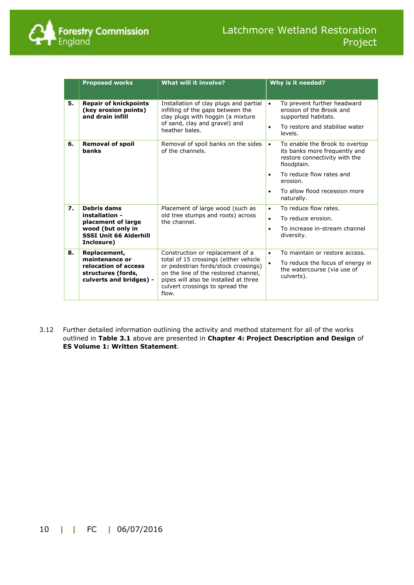

|    | <b>Proposed works</b>                                                                                                          | What will it involve?                                                                                                                                                                                                                          | Why is it needed?                                                                                                                                                     |
|----|--------------------------------------------------------------------------------------------------------------------------------|------------------------------------------------------------------------------------------------------------------------------------------------------------------------------------------------------------------------------------------------|-----------------------------------------------------------------------------------------------------------------------------------------------------------------------|
| 5. | <b>Repair of knickpoints</b><br>(key erosion points)<br>and drain infill                                                       | Installation of clay plugs and partial<br>infilling of the gaps between the<br>clay plugs with hoggin (a mixture<br>of sand, clay and gravel) and<br>heather bales.                                                                            | To prevent further headward<br>$\bullet$<br>erosion of the Brook and<br>supported habitats.<br>To restore and stabilise water<br>$\bullet$<br>levels.                 |
| 6. | <b>Removal of spoil</b><br><b>banks</b>                                                                                        | Removal of spoil banks on the sides<br>of the channels.                                                                                                                                                                                        | To enable the Brook to overtop<br>$\bullet$<br>its banks more frequently and<br>restore connectivity with the<br>floodplain.<br>To reduce flow rates and<br>$\bullet$ |
|    |                                                                                                                                |                                                                                                                                                                                                                                                | erosion.<br>To allow flood recession more<br>$\bullet$<br>naturally.                                                                                                  |
| 7. | <b>Debris dams</b><br>installation -<br>placement of large<br>wood (but only in<br><b>SSSI Unit 66 Alderhill</b><br>Inclosure) | Placement of large wood (such as<br>old tree stumps and roots) across<br>the channel.                                                                                                                                                          | To reduce flow rates.<br>$\bullet$<br>To reduce erosion.<br>$\bullet$<br>To increase in-stream channel<br>$\bullet$<br>diversity.                                     |
| 8. | Replacement,<br>maintenance or<br>relocation of access<br>structures (fords,<br>culverts and bridges) -                        | Construction or replacement of a<br>total of 15 crossings (either vehicle<br>or pedestrian fords/stock crossings)<br>on the line of the restored channel,<br>pipes will also be installed at three<br>culvert crossings to spread the<br>flow. | To maintain or restore access.<br>$\bullet$<br>To reduce the focus of energy in<br>$\bullet$<br>the watercourse (via use of<br>culverts).                             |

3.12 Further detailed information outlining the activity and method statement for all of the works outlined in **Table 3.1** above are presented in **Chapter 4: Project Description and Design** of **ES Volume 1: Written Statement**.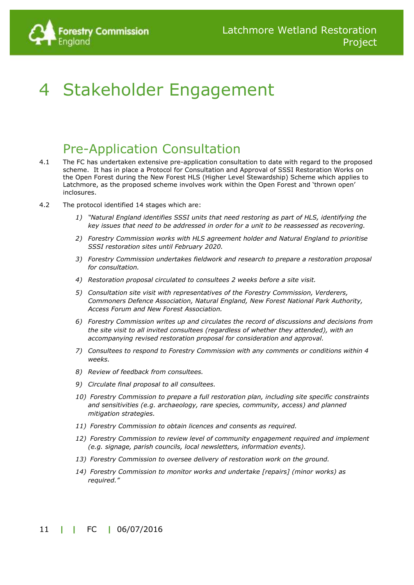

# <span id="page-10-0"></span>4 Stakeholder Engagement

# Pre-Application Consultation

- <span id="page-10-1"></span>4.1 The FC has undertaken extensive pre-application consultation to date with regard to the proposed scheme. It has in place a Protocol for Consultation and Approval of SSSI Restoration Works on the Open Forest during the New Forest HLS (Higher Level Stewardship) Scheme which applies to Latchmore, as the proposed scheme involves work within the Open Forest and 'thrown open' inclosures.
- 4.2 The protocol identified 14 stages which are:
	- *1) "Natural England identifies SSSI units that need restoring as part of HLS, identifying the key issues that need to be addressed in order for a unit to be reassessed as recovering.*
	- *2) Forestry Commission works with HLS agreement holder and Natural England to prioritise SSSI restoration sites until February 2020.*
	- *3) Forestry Commission undertakes fieldwork and research to prepare a restoration proposal for consultation.*
	- *4) Restoration proposal circulated to consultees 2 weeks before a site visit.*
	- *5) Consultation site visit with representatives of the Forestry Commission, Verderers, Commoners Defence Association, Natural England, New Forest National Park Authority, Access Forum and New Forest Association.*
	- *6) Forestry Commission writes up and circulates the record of discussions and decisions from the site visit to all invited consultees (regardless of whether they attended), with an accompanying revised restoration proposal for consideration and approval.*
	- *7) Consultees to respond to Forestry Commission with any comments or conditions within 4 weeks.*
	- *8) Review of feedback from consultees.*
	- *9) Circulate final proposal to all consultees.*
	- *10) Forestry Commission to prepare a full restoration plan, including site specific constraints and sensitivities (e.g. archaeology, rare species, community, access) and planned mitigation strategies.*
	- *11) Forestry Commission to obtain licences and consents as required.*
	- *12) Forestry Commission to review level of community engagement required and implement (e.g. signage, parish councils, local newsletters, information events).*
	- *13) Forestry Commission to oversee delivery of restoration work on the ground.*
	- *14) Forestry Commission to monitor works and undertake [repairs] (minor works) as required."*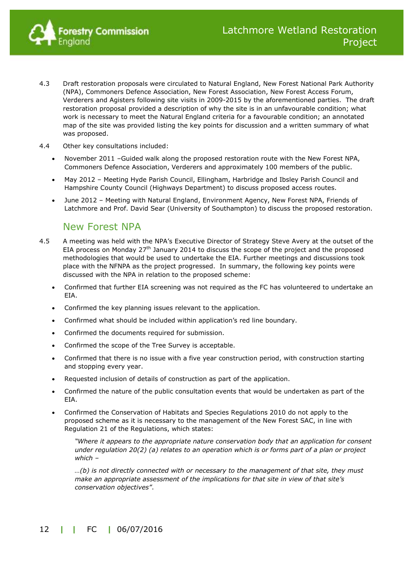

- 4.3 Draft restoration proposals were circulated to Natural England, New Forest National Park Authority (NPA), Commoners Defence Association, New Forest Association, New Forest Access Forum, Verderers and Agisters following site visits in 2009-2015 by the aforementioned parties. The draft restoration proposal provided a description of why the site is in an unfavourable condition; what work is necessary to meet the Natural England criteria for a favourable condition; an annotated map of the site was provided listing the key points for discussion and a written summary of what was proposed.
- 4.4 Other key consultations included:
	- November 2011 –Guided walk along the proposed restoration route with the New Forest NPA, Commoners Defence Association, Verderers and approximately 100 members of the public.
	- May 2012 Meeting Hyde Parish Council, Ellingham, Harbridge and Ibsley Parish Council and Hampshire County Council (Highways Department) to discuss proposed access routes.
	- June 2012 Meeting with Natural England, Environment Agency, New Forest NPA, Friends of Latchmore and Prof. David Sear (University of Southampton) to discuss the proposed restoration.

### New Forest NPA

- 4.5 A meeting was held with the NPA's Executive Director of Strategy Steve Avery at the outset of the EIA process on Monday 27<sup>th</sup> January 2014 to discuss the scope of the project and the proposed methodologies that would be used to undertake the EIA. Further meetings and discussions took place with the NFNPA as the project progressed. In summary, the following key points were discussed with the NPA in relation to the proposed scheme:
	- Confirmed that further EIA screening was not required as the FC has volunteered to undertake an EIA.
	- Confirmed the key planning issues relevant to the application.
	- Confirmed what should be included within application's red line boundary.
	- Confirmed the documents required for submission.
	- Confirmed the scope of the Tree Survey is acceptable.
	- Confirmed that there is no issue with a five year construction period, with construction starting and stopping every year.
	- Requested inclusion of details of construction as part of the application.
	- Confirmed the nature of the public consultation events that would be undertaken as part of the EIA.
	- Confirmed the Conservation of Habitats and Species Regulations 2010 do not apply to the proposed scheme as it is necessary to the management of the New Forest SAC, in line with Regulation 21 of the Regulations, which states:

*"Where it appears to the appropriate nature conservation body that an application for consent under regulation 20(2) (a) relates to an operation which is or forms part of a plan or project which –*

*…(b) is not directly connected with or necessary to the management of that site, they must make an appropriate assessment of the implications for that site in view of that site's conservation objectives"*.

#### 12 **| |** FC **|** 06/07/2016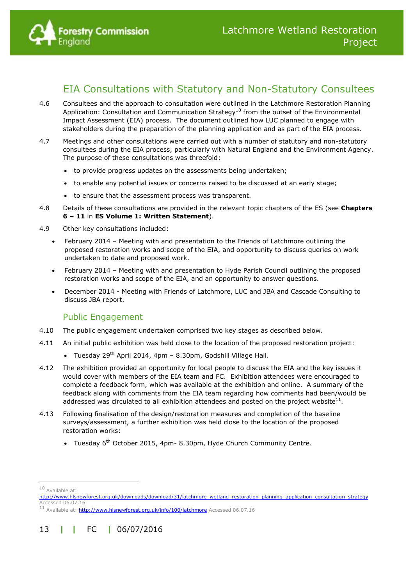

## EIA Consultations with Statutory and Non-Statutory Consultees

- 4.6 Consultees and the approach to consultation were outlined in the Latchmore Restoration Planning Application: Consultation and Communication Strategy<sup>10</sup> from the outset of the Environmental Impact Assessment (EIA) process. The document outlined how LUC planned to engage with stakeholders during the preparation of the planning application and as part of the EIA process.
- 4.7 Meetings and other consultations were carried out with a number of statutory and non-statutory consultees during the EIA process, particularly with Natural England and the Environment Agency. The purpose of these consultations was threefold:
	- to provide progress updates on the assessments being undertaken;
	- to enable any potential issues or concerns raised to be discussed at an early stage;
	- to ensure that the assessment process was transparent.
- 4.8 Details of these consultations are provided in the relevant topic chapters of the ES (see **Chapters 6 – 11** in **ES Volume 1: Written Statement**).
- 4.9 Other key consultations included:
	- February 2014 Meeting with and presentation to the Friends of Latchmore outlining the proposed restoration works and scope of the EIA, and opportunity to discuss queries on work undertaken to date and proposed work.
	- February 2014 Meeting with and presentation to Hyde Parish Council outlining the proposed restoration works and scope of the EIA, and an opportunity to answer questions.
	- December 2014 Meeting with Friends of Latchmore, LUC and JBA and Cascade Consulting to discuss JBA report.

#### Public Engagement

- 4.10 The public engagement undertaken comprised two key stages as described below.
- 4.11 An initial public exhibition was held close to the location of the proposed restoration project:
	- $\bullet$  Tuesday 29<sup>th</sup> April 2014, 4pm 8.30pm, Godshill Village Hall.
- 4.12 The exhibition provided an opportunity for local people to discuss the EIA and the key issues it would cover with members of the EIA team and FC. Exhibition attendees were encouraged to complete a feedback form, which was available at the exhibition and online. A summary of the feedback along with comments from the EIA team regarding how comments had been/would be addressed was circulated to all exhibition attendees and posted on the project website<sup>11</sup>.
- 4.13 Following finalisation of the design/restoration measures and completion of the baseline surveys/assessment, a further exhibition was held close to the location of the proposed restoration works:
	- Tuesday 6<sup>th</sup> October 2015, 4pm- 8.30pm, Hyde Church Community Centre.

<sup>10</sup> Available at:

[http://www.hlsnewforest.org.uk/downloads/download/31/latchmore\\_wetland\\_restoration\\_planning\\_application\\_consultation\\_strategy](http://www.hlsnewforest.org.uk/downloads/download/31/latchmore_wetland_restoration_planning_application_consultation_strategy) Accessed 06.07.16

 $11$  Available at:<http://www.hlsnewforest.org.uk/info/100/latchmore> Accessed 06.07.16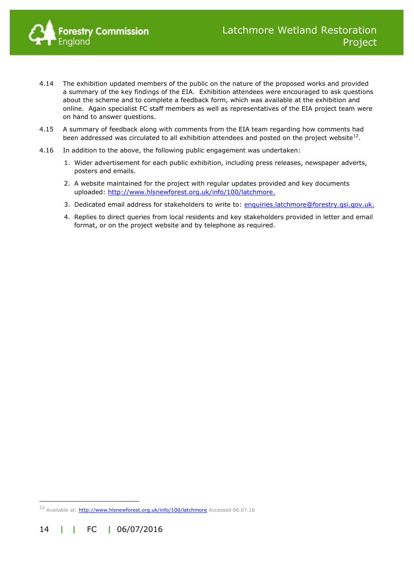

- 4.14 The exhibition updated members of the public on the nature of the proposed works and provided a summary of the key findings of the EIA. Exhibition attendees were encouraged to ask questions about the scheme and to complete a feedback form, which was available at the exhibition and online. Again specialist FC staff members as well as representatives of the EIA project team were on hand to answer questions.
- 4.15 A summary of feedback along with comments from the EIA team regarding how comments had been addressed was circulated to all exhibition attendees and posted on the project website<sup>12</sup>.
- 4.16 In addition to the above, the following public engagement was undertaken:
	- 1. Wider advertisement for each public exhibition, including press releases, newspaper adverts, posters and emails.
	- 2. A website maintained for the project with regular updates provided and key documents uploaded: [http://www.hlsnewforest.org.uk/info/100/latchmore.](http://www.hlsnewforest.org.uk/info/100/latchmore)
	- 3. Dedicated email address for stakeholders to write to: [enquiries.latchmore@forestry.gsi.gov.uk.](mailto:enquiries.latchmore@forestry.gsi.gov.uk)
	- 4. Replies to direct queries from local residents and key stakeholders provided in letter and email format, or on the project website and by telephone as required.

<sup>&</sup>lt;sup>12</sup> Available at:<http://www.hlsnewforest.org.uk/info/100/latchmore> Accessed 06.07.16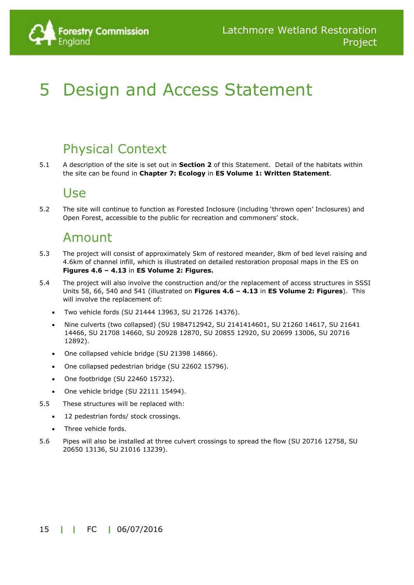

# <span id="page-14-0"></span>5 Design and Access Statement

# Physical Context

<span id="page-14-2"></span><span id="page-14-1"></span>5.1 A description of the site is set out in **Section 2** of this Statement. Detail of the habitats within the site can be found in **Chapter 7: Ecology** in **ES Volume 1: Written Statement**.

## Use

<span id="page-14-3"></span>5.2 The site will continue to function as Forested Inclosure (including 'thrown open' Inclosures) and Open Forest, accessible to the public for recreation and commoners' stock.

## Amount

- 5.3 The project will consist of approximately 5km of restored meander, 8km of bed level raising and 4.6km of channel infill, which is illustrated on detailed restoration proposal maps in the ES on **Figures 4.6 – 4.13** in **ES Volume 2: Figures.**
- 5.4 The project will also involve the construction and/or the replacement of access structures in SSSI Units 58, 66, 540 and 541 (illustrated on **Figures 4.6 – 4.13** in **ES Volume 2: Figures**). This will involve the replacement of:
	- Two vehicle fords (SU 21444 13963, SU 21726 14376).
	- Nine culverts (two collapsed) (SU 1984712942, SU 2141414601, SU 21260 14617, SU 21641 14466, SU 21708 14660, SU 20928 12870, SU 20855 12920, SU 20699 13006, SU 20716 12892).
	- One collapsed vehicle bridge (SU 21398 14866).
	- One collapsed pedestrian bridge (SU 22602 15796).
	- One footbridge (SU 22460 15732).
	- One vehicle bridge (SU 22111 15494).
- 5.5 These structures will be replaced with:
	- 12 pedestrian fords/ stock crossings.
	- Three vehicle fords.
- 5.6 Pipes will also be installed at three culvert crossings to spread the flow (SU 20716 12758, SU 20650 13136, SU 21016 13239).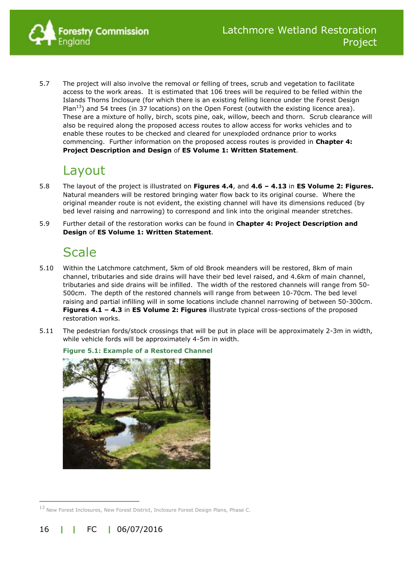

5.7 The project will also involve the removal or felling of trees, scrub and vegetation to facilitate access to the work areas. It is estimated that 106 trees will be required to be felled within the Islands Thorns Inclosure (for which there is an existing felling licence under the Forest Design Plan<sup>13</sup>) and 54 trees (in 37 locations) on the Open Forest (outwith the existing licence area). These are a mixture of holly, birch, scots pine, oak, willow, beech and thorn. Scrub clearance will also be required along the proposed access routes to allow access for works vehicles and to enable these routes to be checked and cleared for unexploded ordnance prior to works commencing. Further information on the proposed access routes is provided in **Chapter 4: Project Description and Design** of **ES Volume 1: Written Statement**.

## Layout

- <span id="page-15-0"></span>5.8 The layout of the project is illustrated on **Figures 4.4**, and **4.6 – 4.13** in **ES Volume 2: Figures.**  Natural meanders will be restored bringing water flow back to its original course. Where the original meander route is not evident, the existing channel will have its dimensions reduced (by bed level raising and narrowing) to correspond and link into the original meander stretches.
- <span id="page-15-1"></span>5.9 Further detail of the restoration works can be found in **Chapter 4: Project Description and Design** of **ES Volume 1: Written Statement**.

## Scale

- 5.10 Within the Latchmore catchment, 5km of old Brook meanders will be restored, 8km of main channel, tributaries and side drains will have their bed level raised, and 4.6km of main channel, tributaries and side drains will be infilled. The width of the restored channels will range from 50- 500cm. The depth of the restored channels will range from between 10-70cm. The bed level raising and partial infilling will in some locations include channel narrowing of between 50-300cm. **Figures 4.1 – 4.3** in **ES Volume 2: Figures** illustrate typical cross-sections of the proposed restoration works.
- 5.11 The pedestrian fords/stock crossings that will be put in place will be approximately 2-3m in width, while vehicle fords will be approximately 4-5m in width.



#### **Figure 5.1: Example of a Restored Channel**

<sup>13</sup> New Forest Inclosures, New Forest District, Inclosure Forest Design Plans, Phase C.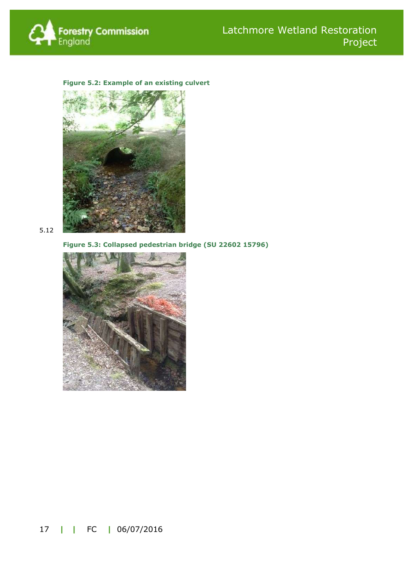

#### **Figure 5.2: Example of an existing culvert**



5.12

**Figure 5.3: Collapsed pedestrian bridge (SU 22602 15796)**



### 17 **| |** FC **|** 06/07/2016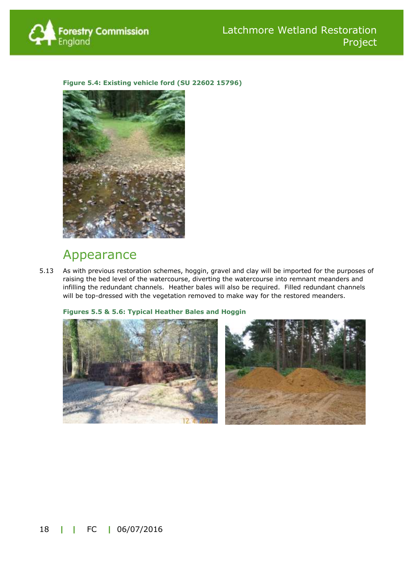

#### **Figure 5.4: Existing vehicle ford (SU 22602 15796)**



## Appearance

<span id="page-17-0"></span>5.13 As with previous restoration schemes, hoggin, gravel and clay will be imported for the purposes of raising the bed level of the watercourse, diverting the watercourse into remnant meanders and infilling the redundant channels. Heather bales will also be required. Filled redundant channels will be top-dressed with the vegetation removed to make way for the restored meanders.

**Figures 5.5 & 5.6: Typical Heather Bales and Hoggin** 

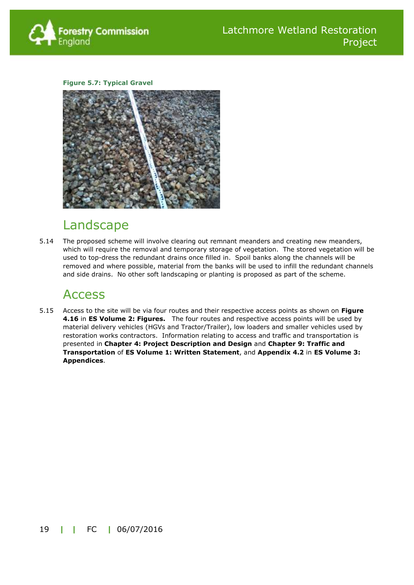

**Figure 5.7: Typical Gravel** 



## Landscape

<span id="page-18-0"></span>5.14 The proposed scheme will involve clearing out remnant meanders and creating new meanders, which will require the removal and temporary storage of vegetation. The stored vegetation will be used to top-dress the redundant drains once filled in. Spoil banks along the channels will be removed and where possible, material from the banks will be used to infill the redundant channels and side drains. No other soft landscaping or planting is proposed as part of the scheme.

## Access

<span id="page-18-1"></span>5.15 Access to the site will be via four routes and their respective access points as shown on **Figure 4.16** in **ES Volume 2: Figures.** The four routes and respective access points will be used by material delivery vehicles (HGVs and Tractor/Trailer), low loaders and smaller vehicles used by restoration works contractors. Information relating to access and traffic and transportation is presented in **Chapter 4: Project Description and Design** and **Chapter 9: Traffic and Transportation** of **ES Volume 1: Written Statement**, and **Appendix 4.2** in **ES Volume 3: Appendices**.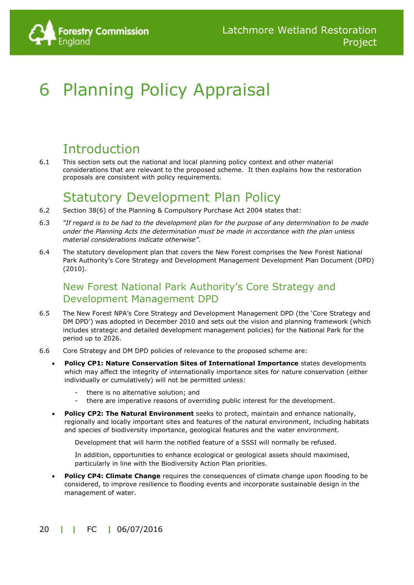# <span id="page-19-0"></span>6 Planning Policy Appraisal

## **Introduction**

<span id="page-19-2"></span><span id="page-19-1"></span>6.1 This section sets out the national and local planning policy context and other material considerations that are relevant to the proposed scheme. It then explains how the restoration proposals are consistent with policy requirements.

## Statutory Development Plan Policy

- 6.2 Section 38(6) of the Planning & Compulsory Purchase Act 2004 states that:
- 6.3 *"If regard is to be had to the development plan for the purpose of any determination to be made under the Planning Acts the determination must be made in accordance with the plan unless material considerations indicate otherwise"*.
- 6.4 The statutory development plan that covers the New Forest comprises the New Forest National Park Authority's Core Strategy and Development Management Development Plan Document (DPD) (2010).

### New Forest National Park Authority's Core Strategy and Development Management DPD

- 6.5 The New Forest NPA's Core Strategy and Development Management DPD (the 'Core Strategy and DM DPD') was adopted in December 2010 and sets out the vision and planning framework (which includes strategic and detailed development management policies) for the National Park for the period up to 2026.
- 6.6 Core Strategy and DM DPD policies of relevance to the proposed scheme are:
	- **Policy CP1: Nature Conservation Sites of International Importance** states developments which may affect the integrity of internationally importance sites for nature conservation (either individually or cumulatively) will not be permitted unless:
		- there is no alternative solution; and
		- there are imperative reasons of overriding public interest for the development.
	- **Policy CP2: The Natural Environment** seeks to protect, maintain and enhance nationally, regionally and locally important sites and features of the natural environment, including habitats and species of biodiversity importance, geological features and the water environment.

Development that will harm the notified feature of a SSSI will normally be refused.

In addition, opportunities to enhance ecological or geological assets should maximised, particularly in line with the Biodiversity Action Plan priorities.

**Policy CP4: Climate Change** requires the consequences of climate change upon flooding to be considered, to improve resilience to flooding events and incorporate sustainable design in the management of water.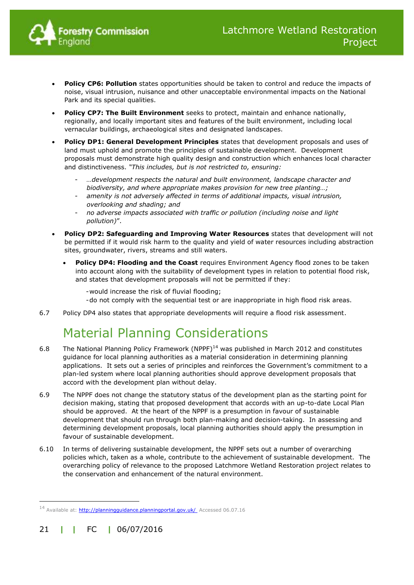

- **Policy CP6: Pollution** states opportunities should be taken to control and reduce the impacts of noise, visual intrusion, nuisance and other unacceptable environmental impacts on the National Park and its special qualities.
- **Policy CP7: The Built Environment** seeks to protect, maintain and enhance nationally, regionally, and locally important sites and features of the built environment, including local vernacular buildings, archaeological sites and designated landscapes.
- **Policy DP1: General Development Principles** states that development proposals and uses of land must uphold and promote the principles of sustainable development. Development proposals must demonstrate high quality design and construction which enhances local character and distinctiveness. *"This includes, but is not restricted to, ensuring:* 
	- *…development respects the natural and built environment, landscape character and biodiversity, and where appropriate makes provision for new tree planting…;*
	- *amenity is not adversely affected in terms of additional impacts, visual intrusion, overlooking and shading; and*
	- *no adverse impacts associated with traffic or pollution (including noise and light pollution)*".
- **Policy DP2: Safeguarding and Improving Water Resources** states that development will not be permitted if it would risk harm to the quality and yield of water resources including abstraction sites, groundwater, rivers, streams and still waters.
	- **Policy DP4: Flooding and the Coast** requires Environment Agency flood zones to be taken into account along with the suitability of development types in relation to potential flood risk, and states that development proposals will not be permitted if they:

-would increase the risk of fluvial flooding;

-do not comply with the sequential test or are inappropriate in high flood risk areas.

<span id="page-20-0"></span>6.7 Policy DP4 also states that appropriate developments will require a flood risk assessment.

# Material Planning Considerations

- 6.8 The National Planning Policy Framework (NPPF)<sup>14</sup> was published in March 2012 and constitutes guidance for local planning authorities as a material consideration in determining planning applications. It sets out a series of principles and reinforces the Government's commitment to a plan-led system where local planning authorities should approve development proposals that accord with the development plan without delay.
- 6.9 The NPPF does not change the statutory status of the development plan as the starting point for decision making, stating that proposed development that accords with an up-to-date Local Plan should be approved. At the heart of the NPPF is a presumption in favour of sustainable development that should run through both plan-making and decision-taking. In assessing and determining development proposals, local planning authorities should apply the presumption in favour of sustainable development.
- 6.10 In terms of delivering sustainable development, the NPPF sets out a number of overarching policies which, taken as a whole, contribute to the achievement of sustainable development. The overarching policy of relevance to the proposed Latchmore Wetland Restoration project relates to the conservation and enhancement of the natural environment.

<sup>&</sup>lt;sup>14</sup> Available at:<http://planningguidance.planningportal.gov.uk/> Accessed 06.07.16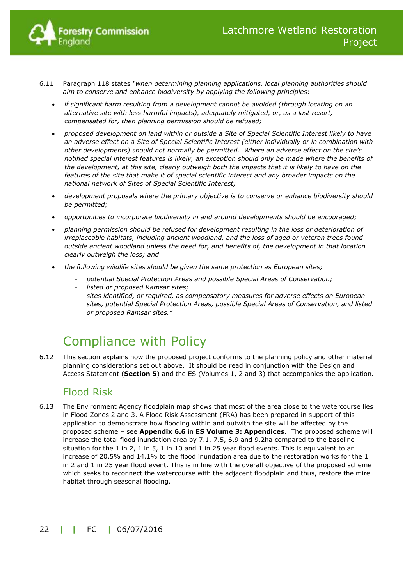

- 6.11 Paragraph 118 states *"when determining planning applications, local planning authorities should aim to conserve and enhance biodiversity by applying the following principles:*
	- *if significant harm resulting from a development cannot be avoided (through locating on an alternative site with less harmful impacts), adequately mitigated, or, as a last resort, compensated for, then planning permission should be refused;*
	- *proposed development on land within or outside a Site of Special Scientific Interest likely to have an adverse effect on a Site of Special Scientific Interest (either individually or in combination with other developments) should not normally be permitted. Where an adverse effect on the site's notified special interest features is likely, an exception should only be made where the benefits of the development, at this site, clearly outweigh both the impacts that it is likely to have on the features of the site that make it of special scientific interest and any broader impacts on the national network of Sites of Special Scientific Interest;*
	- *development proposals where the primary objective is to conserve or enhance biodiversity should be permitted;*
	- *opportunities to incorporate biodiversity in and around developments should be encouraged;*
	- *planning permission should be refused for development resulting in the loss or deterioration of irreplaceable habitats, including ancient woodland, and the loss of aged or veteran trees found outside ancient woodland unless the need for, and benefits of, the development in that location clearly outweigh the loss; and*
	- *the following wildlife sites should be given the same protection as European sites;* 
		- *potential Special Protection Areas and possible Special Areas of Conservation;*
		- *listed or proposed Ramsar sites;*
		- *sites identified, or required, as compensatory measures for adverse effects on European sites, potential Special Protection Areas, possible Special Areas of Conservation, and listed or proposed Ramsar sites."*

# <span id="page-21-0"></span>Compliance with Policy

6.12 This section explains how the proposed project conforms to the planning policy and other material planning considerations set out above. It should be read in conjunction with the Design and Access Statement (**Section 5**) and the ES (Volumes 1, 2 and 3) that accompanies the application.

### Flood Risk

6.13 The Environment Agency floodplain map shows that most of the area close to the watercourse lies in Flood Zones 2 and 3. A Flood Risk Assessment (FRA) has been prepared in support of this application to demonstrate how flooding within and outwith the site will be affected by the proposed scheme – see **Appendix 6.6** in **ES Volume 3: Appendices**. The proposed scheme will increase the total flood inundation area by 7.1, 7.5, 6.9 and 9.2ha compared to the baseline situation for the 1 in 2, 1 in 5, 1 in 10 and 1 in 25 year flood events. This is equivalent to an increase of 20.5% and 14.1% to the flood inundation area due to the restoration works for the 1 in 2 and 1 in 25 year flood event. This is in line with the overall objective of the proposed scheme which seeks to reconnect the watercourse with the adjacent floodplain and thus, restore the mire habitat through seasonal flooding.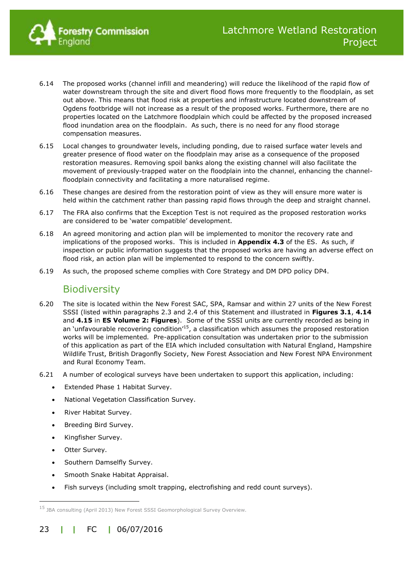

- 6.14 The proposed works (channel infill and meandering) will reduce the likelihood of the rapid flow of water downstream through the site and divert flood flows more frequently to the floodplain, as set out above. This means that flood risk at properties and infrastructure located downstream of Ogdens footbridge will not increase as a result of the proposed works. Furthermore, there are no properties located on the Latchmore floodplain which could be affected by the proposed increased flood inundation area on the floodplain. As such, there is no need for any flood storage compensation measures.
- 6.15 Local changes to groundwater levels, including ponding, due to raised surface water levels and greater presence of flood water on the floodplain may arise as a consequence of the proposed restoration measures. Removing spoil banks along the existing channel will also facilitate the movement of previously-trapped water on the floodplain into the channel, enhancing the channelfloodplain connectivity and facilitating a more naturalised regime.
- 6.16 These changes are desired from the restoration point of view as they will ensure more water is held within the catchment rather than passing rapid flows through the deep and straight channel.
- 6.17 The FRA also confirms that the Exception Test is not required as the proposed restoration works are considered to be 'water compatible' development.
- 6.18 An agreed monitoring and action plan will be implemented to monitor the recovery rate and implications of the proposed works. This is included in **Appendix 4.3** of the ES. As such, if inspection or public information suggests that the proposed works are having an adverse effect on flood risk, an action plan will be implemented to respond to the concern swiftly.
- 6.19 As such, the proposed scheme complies with Core Strategy and DM DPD policy DP4.

### **Biodiversity**

- 6.20 The site is located within the New Forest SAC, SPA, Ramsar and within 27 units of the New Forest SSSI (listed within paragraphs 2.3 and 2.4 of this Statement and illustrated in **Figures 3.1**, **4.14** and **4.15** in **ES Volume 2: Figures**). Some of the SSSI units are currently recorded as being in an 'unfavourable recovering condition $15$ , a classification which assumes the proposed restoration works will be implemented*.* Pre-application consultation was undertaken prior to the submission of this application as part of the EIA which included consultation with Natural England, Hampshire Wildlife Trust, British Dragonfly Society, New Forest Association and New Forest NPA Environment and Rural Economy Team.
- 6.21 A number of ecological surveys have been undertaken to support this application, including:
	- Extended Phase 1 Habitat Survey.
	- National Vegetation Classification Survey.
	- River Habitat Survey.
	- Breeding Bird Survey.
	- Kingfisher Survey.
	- Otter Survey.

- Southern Damselfly Survey.
- Smooth Snake Habitat Appraisal.
- Fish surveys (including smolt trapping, electrofishing and redd count surveys).

<sup>&</sup>lt;sup>15</sup> JBA consulting (April 2013) New Forest SSSI Geomorphological Survey Overview.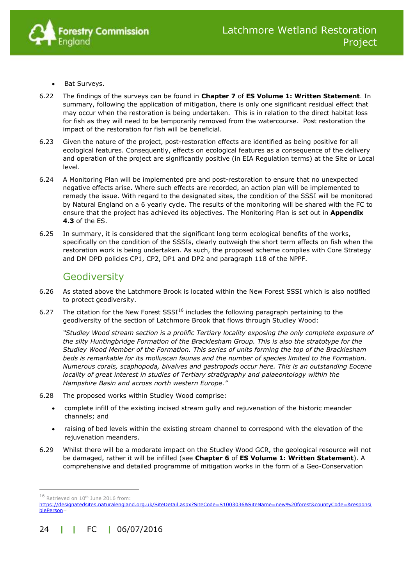

- Bat Surveys.
- 6.22 The findings of the surveys can be found in **Chapter 7** of **ES Volume 1: Written Statement**. In summary, following the application of mitigation, there is only one significant residual effect that may occur when the restoration is being undertaken. This is in relation to the direct habitat loss for fish as they will need to be temporarily removed from the watercourse. Post restoration the impact of the restoration for fish will be beneficial.
- 6.23 Given the nature of the project, post-restoration effects are identified as being positive for all ecological features. Consequently, effects on ecological features as a consequence of the delivery and operation of the project are significantly positive (in EIA Regulation terms) at the Site or Local level.
- 6.24 A Monitoring Plan will be implemented pre and post-restoration to ensure that no unexpected negative effects arise. Where such effects are recorded, an action plan will be implemented to remedy the issue. With regard to the designated sites, the condition of the SSSI will be monitored by Natural England on a 6 yearly cycle. The results of the monitoring will be shared with the FC to ensure that the project has achieved its objectives. The Monitoring Plan is set out in **Appendix 4.3** of the ES.
- 6.25 In summary, it is considered that the significant long term ecological benefits of the works, specifically on the condition of the SSSIs, clearly outweigh the short term effects on fish when the restoration work is being undertaken. As such, the proposed scheme complies with Core Strategy and DM DPD policies CP1, CP2, DP1 and DP2 and paragraph 118 of the NPPF.

### **Geodiversity**

- 6.26 As stated above the Latchmore Brook is located within the New Forest SSSI which is also notified to protect geodiversity.
- 6.27 The citation for the New Forest  $SSSI^{16}$  includes the following paragraph pertaining to the geodiversity of the section of Latchmore Brook that flows through Studley Wood:

*"Studley Wood stream section is a prolific Tertiary locality exposing the only complete exposure of the silty Huntingbridge Formation of the Bracklesham Group. This is also the stratotype for the Studley Wood Member of the Formation. This series of units forming the top of the Bracklesham beds is remarkable for its molluscan faunas and the number of species limited to the Formation. Numerous corals, scaphopoda, bivalves and gastropods occur here. This is an outstanding Eocene locality of great interest in studies of Tertiary stratigraphy and palaeontology within the Hampshire Basin and across north western Europe."*

- 6.28 The proposed works within Studley Wood comprise:
	- complete infill of the existing incised stream gully and rejuvenation of the historic meander channels; and
	- raising of bed levels within the existing stream channel to correspond with the elevation of the rejuvenation meanders.
- 6.29 Whilst there will be a moderate impact on the Studley Wood GCR, the geological resource will not be damaged, rather it will be infilled (see **Chapter 6** of **ES Volume 1: Written Statement**). A comprehensive and detailed programme of mitigation works in the form of a Geo-Conservation

<sup>16</sup> Retrieved on 10<sup>th</sup> June 2016 from:

[https://designatedsites.naturalengland.org.uk/SiteDetail.aspx?SiteCode=S1003036&SiteName=new%20forest&countyCode=&responsi](https://designatedsites.naturalengland.org.uk/SiteDetail.aspx?SiteCode=S1003036&SiteName=new%20forest&countyCode=&responsiblePerson) [blePerson=](https://designatedsites.naturalengland.org.uk/SiteDetail.aspx?SiteCode=S1003036&SiteName=new%20forest&countyCode=&responsiblePerson)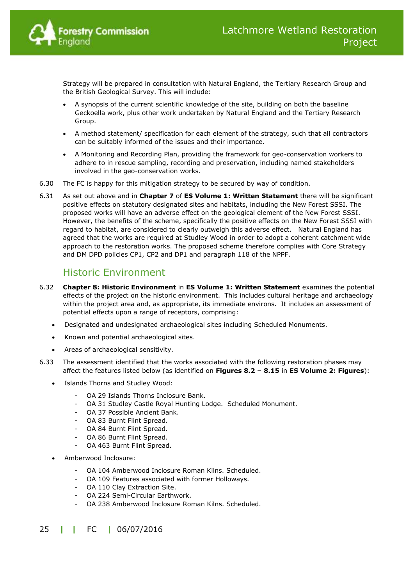

Strategy will be prepared in consultation with Natural England, the Tertiary Research Group and the British Geological Survey. This will include:

- A synopsis of the current scientific knowledge of the site, building on both the baseline Geckoella work, plus other work undertaken by Natural England and the Tertiary Research Group.
- A method statement/ specification for each element of the strategy, such that all contractors can be suitably informed of the issues and their importance.
- A Monitoring and Recording Plan, providing the framework for geo-conservation workers to adhere to in rescue sampling, recording and preservation, including named stakeholders involved in the geo-conservation works.
- 6.30 The FC is happy for this mitigation strategy to be secured by way of condition.
- 6.31 As set out above and in **Chapter 7** of **ES Volume 1: Written Statement** there will be significant positive effects on statutory designated sites and habitats, including the New Forest SSSI. The proposed works will have an adverse effect on the geological element of the New Forest SSSI. However, the benefits of the scheme, specifically the positive effects on the New Forest SSSI with regard to habitat, are considered to clearly outweigh this adverse effect. Natural England has agreed that the works are required at Studley Wood in order to adopt a coherent catchment wide approach to the restoration works. The proposed scheme therefore complies with Core Strategy and DM DPD policies CP1, CP2 and DP1 and paragraph 118 of the NPPF.

### Historic Environment

- 6.32 **Chapter 8: Historic Environment** in **ES Volume 1: Written Statement** examines the potential effects of the project on the historic environment. This includes cultural heritage and archaeology within the project area and, as appropriate, its immediate environs. It includes an assessment of potential effects upon a range of receptors, comprising:
	- Designated and undesignated archaeological sites including Scheduled Monuments.
	- Known and potential archaeological sites.
	- Areas of archaeological sensitivity.
- 6.33 The assessment identified that the works associated with the following restoration phases may affect the features listed below (as identified on **Figures 8.2 – 8.15** in **ES Volume 2: Figures**):
	- Islands Thorns and Studley Wood:
		- OA 29 Islands Thorns Inclosure Bank.
		- OA 31 Studley Castle Royal Hunting Lodge. Scheduled Monument.
		- OA 37 Possible Ancient Bank.
		- OA 83 Burnt Flint Spread.
		- OA 84 Burnt Flint Spread.
		- OA 86 Burnt Flint Spread.
		- OA 463 Burnt Flint Spread.
	- Amberwood Inclosure:
		- OA 104 Amberwood Inclosure Roman Kilns. Scheduled.
		- OA 109 Features associated with former Holloways.
		- OA 110 Clay Extraction Site.
		- OA 224 Semi-Circular Earthwork.
		- OA 238 Amberwood Inclosure Roman Kilns. Scheduled.
- 25 **| |** FC **|** 06/07/2016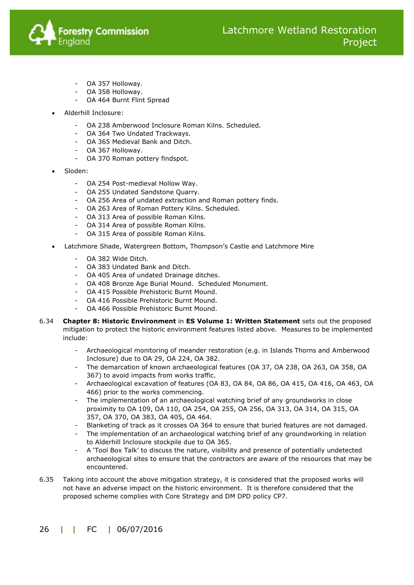

- OA 357 Holloway.
- OA 358 Holloway.
- OA 464 Burnt Flint Spread
- Alderhill Inclosure:
	- OA 238 Amberwood Inclosure Roman Kilns. Scheduled.
	- OA 364 Two Undated Trackways.
	- OA 365 Medieval Bank and Ditch.
	- OA 367 Holloway.
	- OA 370 Roman pottery findspot.
- Sloden:
	- OA 254 Post-medieval Hollow Way.
	- OA 255 Undated Sandstone Quarry.
	- OA 256 Area of undated extraction and Roman pottery finds.
	- OA 263 Area of Roman Pottery Kilns. Scheduled.
	- OA 313 Area of possible Roman Kilns.
	- OA 314 Area of possible Roman Kilns.
	- OA 315 Area of possible Roman Kilns.
- Latchmore Shade, Watergreen Bottom, Thompson's Castle and Latchmore Mire
	- OA 382 Wide Ditch.
	- OA 383 Undated Bank and Ditch.
	- OA 405 Area of undated Drainage ditches.
	- OA 408 Bronze Age Burial Mound. Scheduled Monument.
	- OA 415 Possible Prehistoric Burnt Mound.
	- OA 416 Possible Prehistoric Burnt Mound.
	- OA 466 Possible Prehistoric Burnt Mound.
- 6.34 **Chapter 8: Historic Environment** in **ES Volume 1: Written Statement** sets out the proposed mitigation to protect the historic environment features listed above. Measures to be implemented include:
	- Archaeological monitoring of meander restoration (e.g. in Islands Thorns and Amberwood Inclosure) due to OA 29, OA 224, OA 382.
	- The demarcation of known archaeological features (OA 37, OA 238, OA 263, OA 358, OA 367) to avoid impacts from works traffic.
	- Archaeological excavation of features (OA 83, OA 84, OA 86, OA 415, OA 416, OA 463, OA 466) prior to the works commencing.
	- The implementation of an archaeological watching brief of any groundworks in close proximity to OA 109, OA 110, OA 254, OA 255, OA 256, OA 313, OA 314, OA 315, OA 357, OA 370, OA 383, OA 405, OA 464.
	- Blanketing of track as it crosses OA 364 to ensure that buried features are not damaged.
	- The implementation of an archaeological watching brief of any groundworking in relation to Alderhill Inclosure stockpile due to OA 365.
	- A 'Tool Box Talk' to discuss the nature, visibility and presence of potentially undetected archaeological sites to ensure that the contractors are aware of the resources that may be encountered.
- 6.35 Taking into account the above mitigation strategy, it is considered that the proposed works will not have an adverse impact on the historic environment. It is therefore considered that the proposed scheme complies with Core Strategy and DM DPD policy CP7.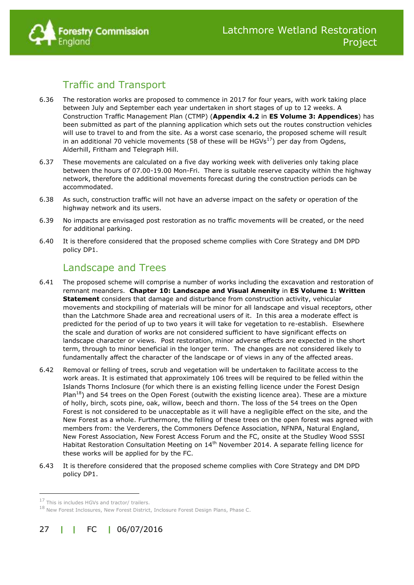

## Traffic and Transport

- 6.36 The restoration works are proposed to commence in 2017 for four years, with work taking place between July and September each year undertaken in short stages of up to 12 weeks. A Construction Traffic Management Plan (CTMP) (**Appendix 4.2** in **ES Volume 3: Appendices**) has been submitted as part of the planning application which sets out the routes construction vehicles will use to travel to and from the site. As a worst case scenario, the proposed scheme will result in an additional 70 vehicle movements (58 of these will be  $HGVs^{17}$ ) per day from Ogdens, Alderhill, Fritham and Telegraph Hill.
- 6.37 These movements are calculated on a five day working week with deliveries only taking place between the hours of 07.00-19.00 Mon-Fri. There is suitable reserve capacity within the highway network, therefore the additional movements forecast during the construction periods can be accommodated.
- 6.38 As such, construction traffic will not have an adverse impact on the safety or operation of the highway network and its users.
- 6.39 No impacts are envisaged post restoration as no traffic movements will be created, or the need for additional parking.
- 6.40 It is therefore considered that the proposed scheme complies with Core Strategy and DM DPD policy DP1.

### Landscape and Trees

- 6.41 The proposed scheme will comprise a number of works including the excavation and restoration of remnant meanders. **Chapter 10: Landscape and Visual Amenity** in **ES Volume 1: Written Statement** considers that damage and disturbance from construction activity, vehicular movements and stockpiling of materials will be minor for all landscape and visual receptors, other than the Latchmore Shade area and recreational users of it. In this area a moderate effect is predicted for the period of up to two years it will take for vegetation to re-establish. Elsewhere the scale and duration of works are not considered sufficient to have significant effects on landscape character or views. Post restoration, minor adverse effects are expected in the short term, through to minor beneficial in the longer term. The changes are not considered likely to fundamentally affect the character of the landscape or of views in any of the affected areas.
- 6.42 Removal or felling of trees, scrub and vegetation will be undertaken to facilitate access to the work areas. It is estimated that approximately 106 trees will be required to be felled within the Islands Thorns Inclosure (for which there is an existing felling licence under the Forest Design Plan $^{18}$ ) and 54 trees on the Open Forest (outwith the existing licence area). These are a mixture of holly, birch, scots pine, oak, willow, beech and thorn. The loss of the 54 trees on the Open Forest is not considered to be unacceptable as it will have a negligible effect on the site, and the New Forest as a whole. Furthermore, the felling of these trees on the open forest was agreed with members from: the Verderers, the Commoners Defence Association, NFNPA, Natural England, New Forest Association, New Forest Access Forum and the FC, onsite at the Studley Wood SSSI Habitat Restoration Consultation Meeting on 14<sup>th</sup> November 2014. A separate felling licence for these works will be applied for by the FC.
- 6.43 It is therefore considered that the proposed scheme complies with Core Strategy and DM DPD policy DP1.

<sup>&</sup>lt;sup>17</sup> This is includes HGVs and tractor/ trailers.

<sup>18</sup> New Forest Inclosures, New Forest District, Inclosure Forest Design Plans, Phase C.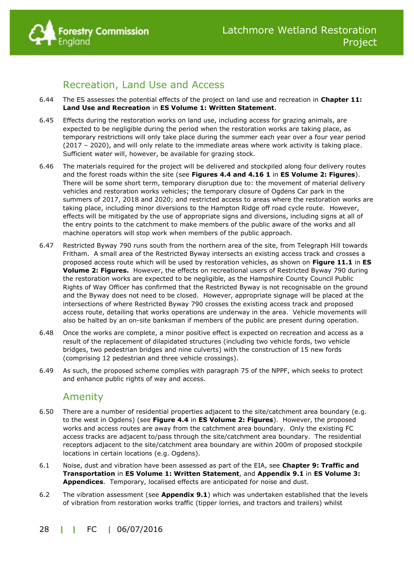

### Recreation, Land Use and Access

- 6.44 The ES assesses the potential effects of the project on land use and recreation in **Chapter 11: Land Use and Recreation** in **ES Volume 1: Written Statement**.
- 6.45 Effects during the restoration works on land use, including access for grazing animals, are expected to be negligible during the period when the restoration works are taking place, as temporary restrictions will only take place during the summer each year over a four year period (2017 – 2020), and will only relate to the immediate areas where work activity is taking place. Sufficient water will, however, be available for grazing stock.
- 6.46 The materials required for the project will be delivered and stockpiled along four delivery routes and the forest roads within the site (see **Figures 4.4 and 4.16 1** in **ES Volume 2: Figures**). There will be some short term, temporary disruption due to: the movement of material delivery vehicles and restoration works vehicles; the temporary closure of Ogdens Car park in the summers of 2017, 2018 and 2020; and restricted access to areas where the restoration works are taking place, including minor diversions to the Hampton Ridge off road cycle route. However, effects will be mitigated by the use of appropriate signs and diversions, including signs at all of the entry points to the catchment to make members of the public aware of the works and all machine operators will stop work when members of the public approach.
- 6.47 Restricted Byway 790 runs south from the northern area of the site, from Telegraph Hill towards Fritham. A small area of the Restricted Byway intersects an existing access track and crosses a proposed access route which will be used by restoration vehicles, as shown on **Figure 11.1** in **ES Volume 2: Figures.** However, the effects on recreational users of Restricted Byway 790 during the restoration works are expected to be negligible, as the Hampshire County Council Public Rights of Way Officer has confirmed that the Restricted Byway is not recognisable on the ground and the Byway does not need to be closed. However, appropriate signage will be placed at the intersections of where Restricted Byway 790 crosses the existing access track and proposed access route, detailing that works operations are underway in the area. Vehicle movements will also be halted by an on-site banksman if members of the public are present during operation.
- 6.48 Once the works are complete, a minor positive effect is expected on recreation and access as a result of the replacement of dilapidated structures (including two vehicle fords, two vehicle bridges, two pedestrian bridges and nine culverts) with the construction of 15 new fords (comprising 12 pedestrian and three vehicle crossings).
- 6.49 As such, the proposed scheme complies with paragraph 75 of the NPPF, which seeks to protect and enhance public rights of way and access.

### Amenity

- 6.50 There are a number of residential properties adjacent to the site/catchment area boundary (e.g. to the west in Ogdens) (see **Figure 4.4** in **ES Volume 2: Figures**). However, the proposed works and access routes are away from the catchment area boundary. Only the existing FC access tracks are adjacent to/pass through the site/catchment area boundary. The residential receptors adjacent to the site/catchment area boundary are within 200m of proposed stockpile locations in certain locations (e.g. Ogdens).
- 6.1 Noise, dust and vibration have been assessed as part of the EIA, see **Chapter 9: Traffic and Transportation** in **ES Volume 1: Written Statement**, and **Appendix 9.1** in **ES Volume 3: Appendices**. Temporary, localised effects are anticipated for noise and dust.
- 6.2 The vibration assessment (see **Appendix 9.1**) which was undertaken established that the levels of vibration from restoration works traffic (tipper lorries, and tractors and trailers) whilst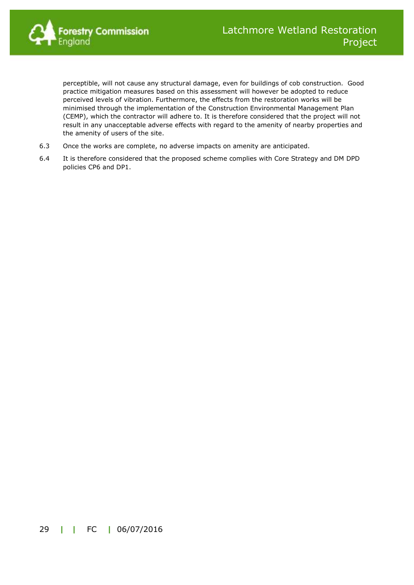

perceptible, will not cause any structural damage, even for buildings of cob construction. Good practice mitigation measures based on this assessment will however be adopted to reduce perceived levels of vibration. Furthermore, the effects from the restoration works will be minimised through the implementation of the Construction Environmental Management Plan (CEMP), which the contractor will adhere to. It is therefore considered that the project will not result in any unacceptable adverse effects with regard to the amenity of nearby properties and the amenity of users of the site.

- 6.3 Once the works are complete, no adverse impacts on amenity are anticipated.
- 6.4 It is therefore considered that the proposed scheme complies with Core Strategy and DM DPD policies CP6 and DP1.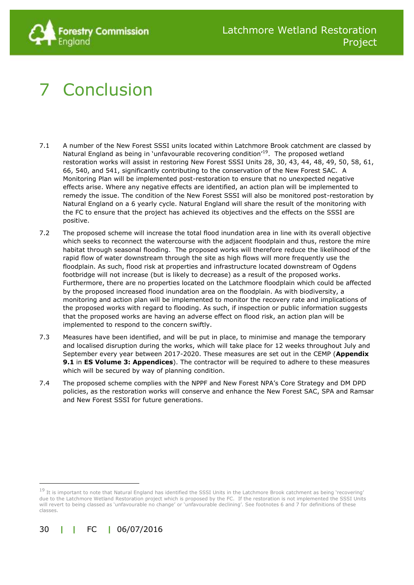

# <span id="page-29-0"></span>7 Conclusion

- 7.1 A number of the New Forest SSSI units located within Latchmore Brook catchment are classed by Natural England as being in 'unfavourable recovering condition'<sup>19</sup>. The proposed wetland restoration works will assist in restoring New Forest SSSI Units 28, 30, 43, 44, 48, 49, 50, 58, 61, 66, 540, and 541, significantly contributing to the conservation of the New Forest SAC. A Monitoring Plan will be implemented post-restoration to ensure that no unexpected negative effects arise. Where any negative effects are identified, an action plan will be implemented to remedy the issue. The condition of the New Forest SSSI will also be monitored post-restoration by Natural England on a 6 yearly cycle. Natural England will share the result of the monitoring with the FC to ensure that the project has achieved its objectives and the effects on the SSSI are positive.
- 7.2 The proposed scheme will increase the total flood inundation area in line with its overall objective which seeks to reconnect the watercourse with the adjacent floodplain and thus, restore the mire habitat through seasonal flooding. The proposed works will therefore reduce the likelihood of the rapid flow of water downstream through the site as high flows will more frequently use the floodplain. As such, flood risk at properties and infrastructure located downstream of Ogdens footbridge will not increase (but is likely to decrease) as a result of the proposed works. Furthermore, there are no properties located on the Latchmore floodplain which could be affected by the proposed increased flood inundation area on the floodplain. As with biodiversity, a monitoring and action plan will be implemented to monitor the recovery rate and implications of the proposed works with regard to flooding. As such, if inspection or public information suggests that the proposed works are having an adverse effect on flood risk, an action plan will be implemented to respond to the concern swiftly.
- 7.3 Measures have been identified, and will be put in place, to minimise and manage the temporary and localised disruption during the works, which will take place for 12 weeks throughout July and September every year between 2017-2020. These measures are set out in the CEMP (**Appendix 9.1** in **ES Volume 3: Appendices**). The contractor will be required to adhere to these measures which will be secured by way of planning condition.
- 7.4 The proposed scheme complies with the NPPF and New Forest NPA's Core Strategy and DM DPD policies, as the restoration works will conserve and enhance the New Forest SAC, SPA and Ramsar and New Forest SSSI for future generations.

 $19$  It is important to note that Natural England has identified the SSSI Units in the Latchmore Brook catchment as being 'recovering' due to the Latchmore Wetland Restoration project which is proposed by the FC. If the restoration is not implemented the SSSI Units will revert to being classed as 'unfavourable no change' or 'unfavourable declining'. See footnotes 6 and 7 for definitions of these classes.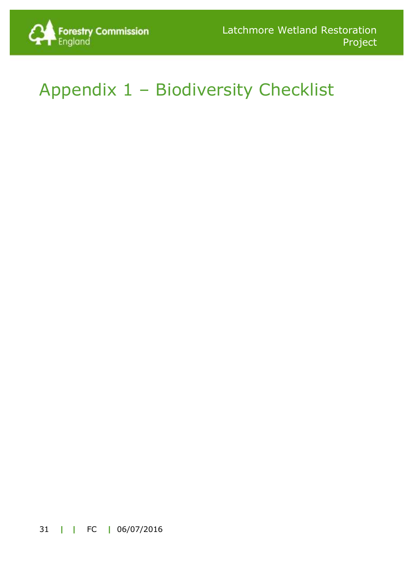

# <span id="page-30-0"></span>Appendix 1 – Biodiversity Checklist

31 **| |** FC **|** 06/07/2016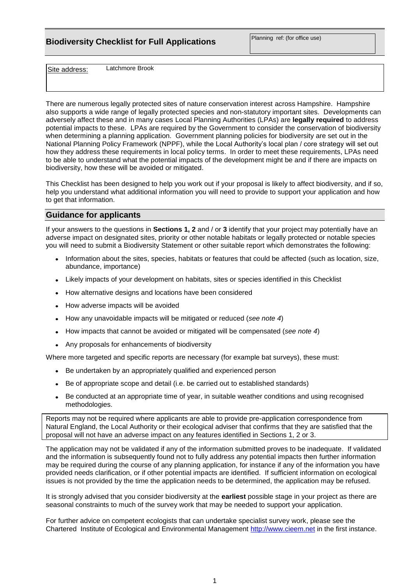#### **Biodiversity Checklist for Full Applications**

Planning ref: (for office use)

Site address: Latchmore Brook

There are numerous legally protected sites of nature conservation interest across Hampshire. Hampshire also supports a wide range of legally protected species and non-statutory important sites. Developments can adversely affect these and in many cases Local Planning Authorities (LPAs) are **legally required** to address potential impacts to these. LPAs are required by the Government to consider the conservation of biodiversity when determining a planning application. Government planning policies for biodiversity are set out in the National Planning Policy Framework (NPPF), while the Local Authority's local plan / core strategy will set out how they address these requirements in local policy terms. In order to meet these requirements, LPAs need to be able to understand what the potential impacts of the development might be and if there are impacts on biodiversity, how these will be avoided or mitigated.

This Checklist has been designed to help you work out if your proposal is likely to affect biodiversity, and if so, help you understand what additional information you will need to provide to support your application and how to get that information.

#### **Guidance for applicants**

If your answers to the questions in **Sections 1, 2** and / or **3** identify that your project may potentially have an adverse impact on designated sites, priority or other notable habitats or legally protected or notable species you will need to submit a Biodiversity Statement or other suitable report which demonstrates the following:

- Information about the sites, species, habitats or features that could be affected (such as location, size, abundance, importance)
- Likely impacts of your development on habitats, sites or species identified in this Checklist
- How alternative designs and locations have been considered
- How adverse impacts will be avoided
- How any unavoidable impacts will be mitigated or reduced (*see note 4*)
- How impacts that cannot be avoided or mitigated will be compensated (*see note 4*)  $\bullet$
- Any proposals for enhancements of biodiversity

Where more targeted and specific reports are necessary (for example bat surveys), these must:

- Be undertaken by an appropriately qualified and experienced person
- Be of appropriate scope and detail (i.e. be carried out to established standards)
- Be conducted at an appropriate time of year, in suitable weather conditions and using recognised  $\bullet$ methodologies.

Reports may not be required where applicants are able to provide pre-application correspondence from Natural England, the Local Authority or their ecological adviser that confirms that they are satisfied that the proposal will not have an adverse impact on any features identified in Sections 1, 2 or 3.

The application may not be validated if any of the information submitted proves to be inadequate. If validated and the information is subsequently found not to fully address any potential impacts then further information may be required during the course of any planning application, for instance if any of the information you have provided needs clarification, or if other potential impacts are identified. If sufficient information on ecological issues is not provided by the time the application needs to be determined, the application may be refused.

It is strongly advised that you consider biodiversity at the **earliest** possible stage in your project as there are seasonal constraints to much of the survey work that may be needed to support your application.

For further advice on competent ecologists that can undertake specialist survey work, please see the Chartered Institute of Ecological and Environmental Management [http://www.cieem.net](http://www.cieem.net/) in the first instance.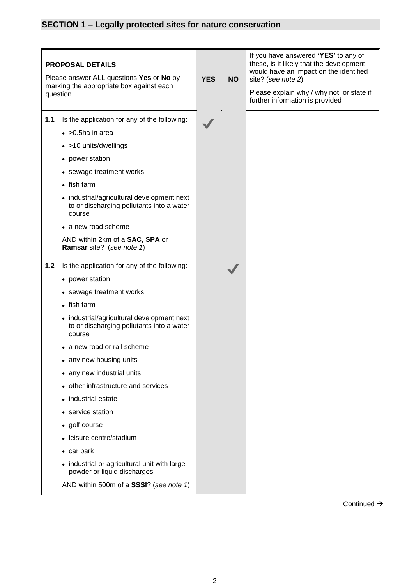## **SECTION 1 – Legally protected sites for nature conservation**

|     | <b>PROPOSAL DETAILS</b><br>Please answer ALL questions Yes or No by<br>marking the appropriate box against each<br>question                                                                                                                                                                                                                                                                                                                                                                                                                                                           | <b>YES</b> | <b>NO</b> | If you have answered 'YES' to any of<br>these, is it likely that the development<br>would have an impact on the identified<br>site? (see note 2)<br>Please explain why / why not, or state if<br>further information is provided |
|-----|---------------------------------------------------------------------------------------------------------------------------------------------------------------------------------------------------------------------------------------------------------------------------------------------------------------------------------------------------------------------------------------------------------------------------------------------------------------------------------------------------------------------------------------------------------------------------------------|------------|-----------|----------------------------------------------------------------------------------------------------------------------------------------------------------------------------------------------------------------------------------|
| 1.1 | Is the application for any of the following:<br>$\bullet$ >0.5ha in area<br>• >10 units/dwellings<br>• power station<br>• sewage treatment works<br>$\bullet$ fish farm<br>• industrial/agricultural development next<br>to or discharging pollutants into a water<br>course<br>• a new road scheme<br>AND within 2km of a SAC, SPA or<br>Ramsar site? (see note 1)                                                                                                                                                                                                                   |            |           |                                                                                                                                                                                                                                  |
| 1.2 | Is the application for any of the following:<br>• power station<br>• sewage treatment works<br>• fish farm<br>• industrial/agricultural development next<br>to or discharging pollutants into a water<br>course<br>a new road or rail scheme<br>• any new housing units<br>• any new industrial units<br>• other infrastructure and services<br>• industrial estate<br>• service station<br>• golf course<br>· leisure centre/stadium<br>$\bullet$ car park<br>• industrial or agricultural unit with large<br>powder or liquid discharges<br>AND within 500m of a SSSI? (see note 1) |            |           |                                                                                                                                                                                                                                  |

Continued  $\rightarrow$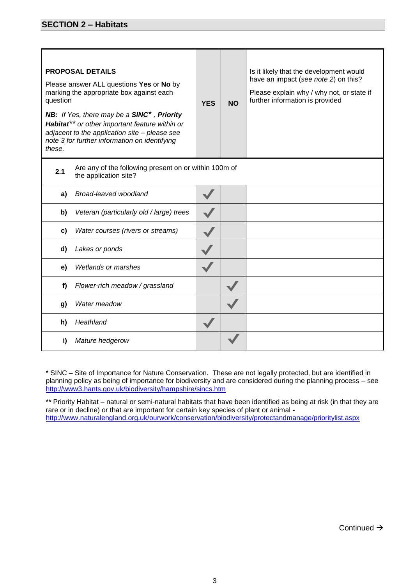| question<br>these. | <b>PROPOSAL DETAILS</b><br>Please answer ALL questions Yes or No by<br>marking the appropriate box against each<br>NB: If Yes, there may be a SINC*, Priority<br>Habitat <sup>**</sup> or other important feature within or<br>adjacent to the application site - please see<br>note 3 for further information on identifying | <b>YES</b> | <b>NO</b> | Is it likely that the development would<br>have an impact (see note 2) on this?<br>Please explain why / why not, or state if<br>further information is provided |
|--------------------|-------------------------------------------------------------------------------------------------------------------------------------------------------------------------------------------------------------------------------------------------------------------------------------------------------------------------------|------------|-----------|-----------------------------------------------------------------------------------------------------------------------------------------------------------------|
| 2.1                | Are any of the following present on or within 100m of<br>the application site?                                                                                                                                                                                                                                                |            |           |                                                                                                                                                                 |
| a)                 | Broad-leaved woodland                                                                                                                                                                                                                                                                                                         |            |           |                                                                                                                                                                 |
| b)                 | Veteran (particularly old / large) trees                                                                                                                                                                                                                                                                                      |            |           |                                                                                                                                                                 |
| C)                 | Water courses (rivers or streams)                                                                                                                                                                                                                                                                                             |            |           |                                                                                                                                                                 |
| d)                 | Lakes or ponds                                                                                                                                                                                                                                                                                                                |            |           |                                                                                                                                                                 |
| e)                 | <b>Wetlands or marshes</b>                                                                                                                                                                                                                                                                                                    |            |           |                                                                                                                                                                 |
| f)                 | Flower-rich meadow / grassland                                                                                                                                                                                                                                                                                                |            |           |                                                                                                                                                                 |
| g)                 | Water meadow                                                                                                                                                                                                                                                                                                                  |            |           |                                                                                                                                                                 |
| h)                 | Heathland                                                                                                                                                                                                                                                                                                                     |            |           |                                                                                                                                                                 |
| i)                 | Mature hedgerow                                                                                                                                                                                                                                                                                                               |            |           |                                                                                                                                                                 |

\* SINC – Site of Importance for Nature Conservation. These are not legally protected, but are identified in planning policy as being of importance for biodiversity and are considered during the planning process – see <http://www3.hants.gov.uk/biodiversity/hampshire/sincs.htm>

\*\* Priority Habitat – natural or semi-natural habitats that have been identified as being at risk (in that they are rare or in decline) or that are important for certain key species of plant or animal <http://www.naturalengland.org.uk/ourwork/conservation/biodiversity/protectandmanage/prioritylist.aspx>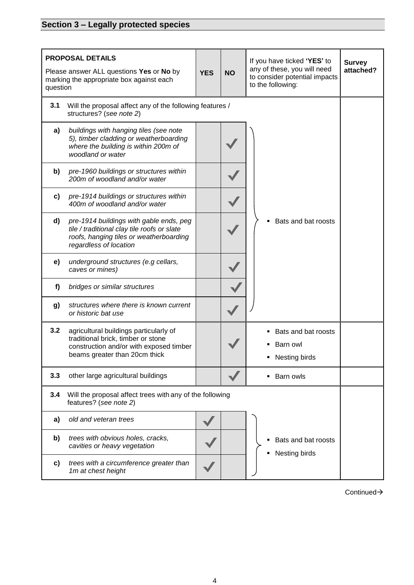| <b>PROPOSAL DETAILS</b><br>Please answer ALL questions Yes or No by<br>marking the appropriate box against each |                                                                                                                                                             | <b>YES</b> | <b>NO</b> | If you have ticked 'YES' to<br>any of these, you will need<br>to consider potential impacts | <b>Survey</b><br>attached? |
|-----------------------------------------------------------------------------------------------------------------|-------------------------------------------------------------------------------------------------------------------------------------------------------------|------------|-----------|---------------------------------------------------------------------------------------------|----------------------------|
| question                                                                                                        |                                                                                                                                                             |            |           | to the following:                                                                           |                            |
| 3.1                                                                                                             | Will the proposal affect any of the following features /<br>structures? (see note 2)                                                                        |            |           |                                                                                             |                            |
| a)                                                                                                              | buildings with hanging tiles (see note<br>5), timber cladding or weatherboarding<br>where the building is within 200m of<br>woodland or water               |            |           |                                                                                             |                            |
| b)                                                                                                              | pre-1960 buildings or structures within<br>200m of woodland and/or water                                                                                    |            |           |                                                                                             |                            |
| c)                                                                                                              | pre-1914 buildings or structures within<br>400m of woodland and/or water                                                                                    |            |           |                                                                                             |                            |
| d)                                                                                                              | pre-1914 buildings with gable ends, peg<br>tile / traditional clay tile roofs or slate<br>roofs, hanging tiles or weatherboarding<br>regardless of location |            |           | Bats and bat roosts                                                                         |                            |
| e)                                                                                                              | underground structures (e.g cellars,<br>caves or mines)                                                                                                     |            |           |                                                                                             |                            |
| f)                                                                                                              | bridges or similar structures                                                                                                                               |            |           |                                                                                             |                            |
| g)                                                                                                              | structures where there is known current<br>or historic bat use                                                                                              |            |           |                                                                                             |                            |
| 3.2                                                                                                             | agricultural buildings particularly of<br>traditional brick, timber or stone<br>construction and/or with exposed timber<br>beams greater than 20cm thick    |            |           | Bats and bat roosts<br>Barn owl<br>Nesting birds                                            |                            |
| 3.3                                                                                                             | other large agricultural buildings                                                                                                                          |            |           | Barn owls                                                                                   |                            |
| 3.4                                                                                                             | Will the proposal affect trees with any of the following<br>features? (see note 2)                                                                          |            |           |                                                                                             |                            |
| a)                                                                                                              | old and veteran trees                                                                                                                                       |            |           |                                                                                             |                            |
| b)                                                                                                              | trees with obvious holes, cracks,<br>cavities or heavy vegetation                                                                                           |            |           | Bats and bat roosts<br>Nesting birds                                                        |                            |
| c)                                                                                                              | trees with a circumference greater than<br>1m at chest height                                                                                               |            |           |                                                                                             |                            |

Continued >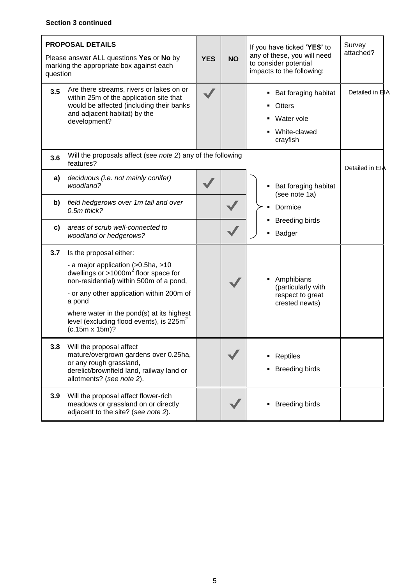| <b>PROPOSAL DETAILS</b><br>Please answer ALL questions Yes or No by<br>marking the appropriate box against each<br>question |                                                                                                                                                                                                                                                                                                                                           | <b>YES</b> | <b>NO</b> | If you have ticked 'YES' to<br>any of these, you will need<br>to consider potential<br>impacts to the following: | Survey<br>attached? |
|-----------------------------------------------------------------------------------------------------------------------------|-------------------------------------------------------------------------------------------------------------------------------------------------------------------------------------------------------------------------------------------------------------------------------------------------------------------------------------------|------------|-----------|------------------------------------------------------------------------------------------------------------------|---------------------|
| 3.5                                                                                                                         | Are there streams, rivers or lakes on or<br>within 25m of the application site that<br>would be affected (including their banks<br>and adjacent habitat) by the<br>development?                                                                                                                                                           |            |           | Bat foraging habitat<br>Otters<br>Water vole<br>White-clawed<br>crayfish                                         | Detailed in EIA     |
| 3.6                                                                                                                         | Will the proposals affect (see note 2) any of the following<br>features?                                                                                                                                                                                                                                                                  |            |           |                                                                                                                  |                     |
| a)                                                                                                                          | deciduous (i.e. not mainly conifer)<br>woodland?                                                                                                                                                                                                                                                                                          |            |           | Bat foraging habitat<br>(see note 1a)                                                                            | Detailed in EIA     |
| b)                                                                                                                          | field hedgerows over 1m tall and over<br>0.5m thick?                                                                                                                                                                                                                                                                                      |            |           | Dormice                                                                                                          |                     |
| c)                                                                                                                          | areas of scrub well-connected to<br>woodland or hedgerows?                                                                                                                                                                                                                                                                                |            |           | <b>Breeding birds</b><br>Badger                                                                                  |                     |
| 3.7                                                                                                                         | Is the proposal either:<br>- a major application (>0.5ha, >10<br>dwellings or $>1000m^2$ floor space for<br>non-residential) within 500m of a pond,<br>- or any other application within 200m of<br>a pond<br>where water in the pond(s) at its highest<br>level (excluding flood events), is 225m <sup>2</sup><br>$(c.15m \times 15m)$ ? |            |           | Amphibians<br>(particularly with<br>respect to great<br>crested newts)                                           |                     |
| 3.8                                                                                                                         | Will the proposal affect<br>mature/overgrown gardens over 0.25ha,<br>or any rough grassland,<br>derelict/brownfield land, railway land or<br>allotments? (see note 2).                                                                                                                                                                    |            |           | Reptiles<br><b>Breeding birds</b>                                                                                |                     |
| 3.9                                                                                                                         | Will the proposal affect flower-rich<br>meadows or grassland on or directly<br>adjacent to the site? (see note 2).                                                                                                                                                                                                                        |            |           | • Breeding birds                                                                                                 |                     |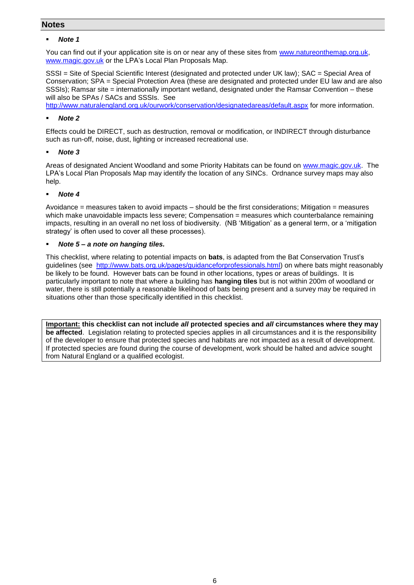#### **Notes**

#### *Note 1*

You can find out if your application site is on or near any of these sites from [www.natureonthemap.org.uk,](http://www.natureonthemap.org.uk/) [www.magic.gov.uk](http://www.magic.gov.uk/) or the LPA's Local Plan Proposals Map.

SSSI = Site of Special Scientific Interest (designated and protected under UK law); SAC = Special Area of Conservation; SPA = Special Protection Area (these are designated and protected under EU law and are also SSSIs); Ramsar site = internationally important wetland, designated under the Ramsar Convention – these will also be SPAs / SACs and SSSIs. See

<http://www.naturalengland.org.uk/ourwork/conservation/designatedareas/default.aspx> for more information.

#### *Note 2*

Effects could be DIRECT, such as destruction, removal or modification, or INDIRECT through disturbance such as run-off, noise, dust, lighting or increased recreational use.

*Note 3*

Areas of designated Ancient Woodland and some Priority Habitats can be found on [www.magic.gov.uk.](http://www.magic.gov.uk/) The LPA's Local Plan Proposals Map may identify the location of any SINCs. Ordnance survey maps may also help.

#### *Note 4*

Avoidance = measures taken to avoid impacts – should be the first considerations; Mitigation = measures which make unavoidable impacts less severe; Compensation = measures which counterbalance remaining impacts, resulting in an overall no net loss of biodiversity. (NB 'Mitigation' as a general term, or a 'mitigation strategy' is often used to cover all these processes).

#### *Note 5 – a note on hanging tiles.*

This checklist, where relating to potential impacts on **bats**, is adapted from the Bat Conservation Trust's guidelines (see [http://www.bats.org.uk/pages/guidanceforprofessionals.html\)](http://www.bats.org.uk/pages/guidanceforprofessionals.html) on where bats might reasonably be likely to be found. However bats can be found in other locations, types or areas of buildings. It is particularly important to note that where a building has **hanging tiles** but is not within 200m of woodland or water, there is still potentially a reasonable likelihood of bats being present and a survey may be required in situations other than those specifically identified in this checklist.

**Important: this checklist can not include** *all* **protected species and** *all* **circumstances where they may be affected**. Legislation relating to protected species applies in all circumstances and it is the responsibility of the developer to ensure that protected species and habitats are not impacted as a result of development. If protected species are found during the course of development, work should be halted and advice sought from Natural England or a qualified ecologist.